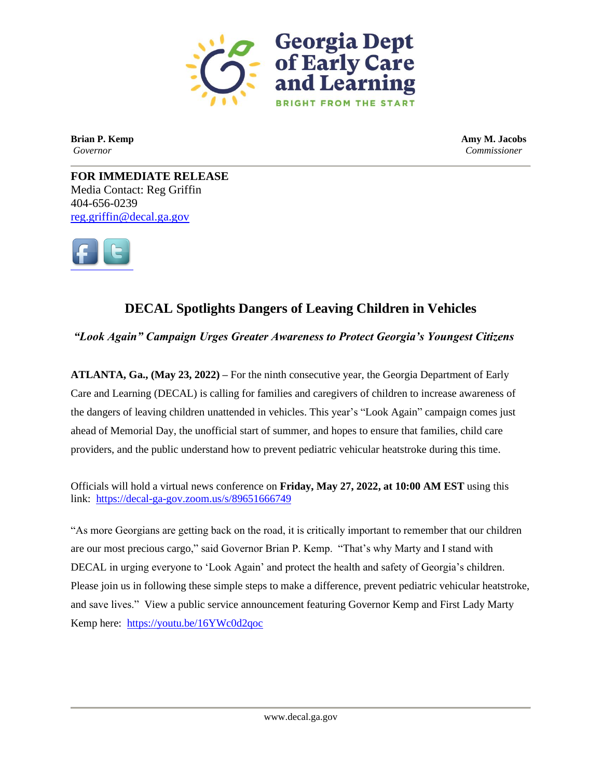

**Brian P. Kemp Amy M. Jacobs** *Governor Commissioner*

**FOR IMMEDIATE RELEASE** Media Contact: Reg Griffin 404-656-0239 [reg.griffin@decal.ga.gov](mailto:reg.griffin@decal.ga.gov)



## **DECAL Spotlights Dangers of Leaving Children in Vehicles**

*"Look Again" Campaign Urges Greater Awareness to Protect Georgia's Youngest Citizens* 

**ATLANTA, Ga., (May 23, 2022) –** For the ninth consecutive year, the Georgia Department of Early Care and Learning (DECAL) is calling for families and caregivers of children to increase awareness of the dangers of leaving children unattended in vehicles. This year's "Look Again" campaign comes just ahead of Memorial Day, the unofficial start of summer, and hopes to ensure that families, child care providers, and the public understand how to prevent pediatric vehicular heatstroke during this time.

Officials will hold a virtual news conference on **Friday, May 27, 2022, at 10:00 AM EST** using this link:<https://decal-ga-gov.zoom.us/s/89651666749>

"As more Georgians are getting back on the road, it is critically important to remember that our children are our most precious cargo," said Governor Brian P. Kemp. "That's why Marty and I stand with DECAL in urging everyone to 'Look Again' and protect the health and safety of Georgia's children. Please join us in following these simple steps to make a difference, prevent pediatric vehicular heatstroke, and save lives." View a public service announcement featuring Governor Kemp and First Lady Marty Kemp here: <https://youtu.be/16YWc0d2qoc>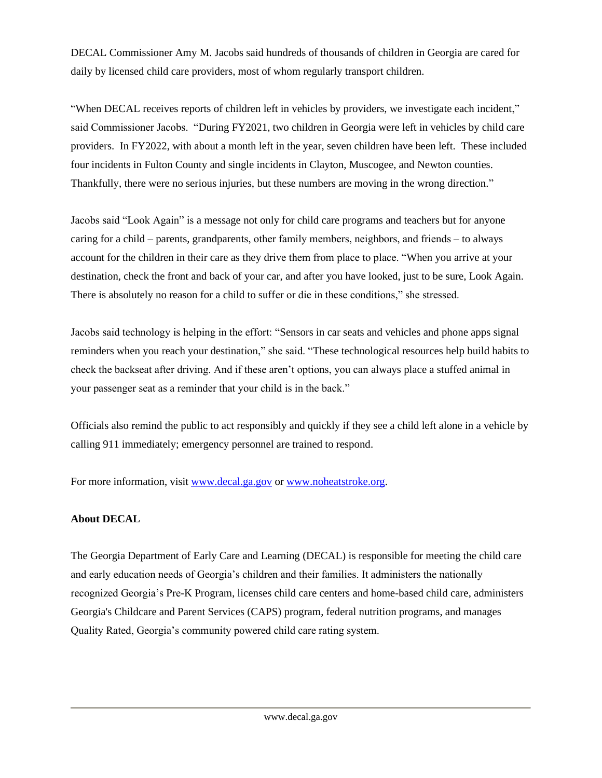DECAL Commissioner Amy M. Jacobs said hundreds of thousands of children in Georgia are cared for daily by licensed child care providers, most of whom regularly transport children.

"When DECAL receives reports of children left in vehicles by providers, we investigate each incident," said Commissioner Jacobs. "During FY2021, two children in Georgia were left in vehicles by child care providers. In FY2022, with about a month left in the year, seven children have been left. These included four incidents in Fulton County and single incidents in Clayton, Muscogee, and Newton counties. Thankfully, there were no serious injuries, but these numbers are moving in the wrong direction."

Jacobs said "Look Again" is a message not only for child care programs and teachers but for anyone caring for a child – parents, grandparents, other family members, neighbors, and friends – to always account for the children in their care as they drive them from place to place. "When you arrive at your destination, check the front and back of your car, and after you have looked, just to be sure, Look Again. There is absolutely no reason for a child to suffer or die in these conditions," she stressed.

Jacobs said technology is helping in the effort: "Sensors in car seats and vehicles and phone apps signal reminders when you reach your destination," she said. "These technological resources help build habits to check the backseat after driving. And if these aren't options, you can always place a stuffed animal in your passenger seat as a reminder that your child is in the back."

Officials also remind the public to act responsibly and quickly if they see a child left alone in a vehicle by calling 911 immediately; emergency personnel are trained to respond.

For more information, visit [www.decal.ga.gov](http://www.decal.ga.gov/) or [www.noheatstroke.org.](http://www.noheatstroke.org/)

## **About DECAL**

The Georgia Department of Early Care and Learning (DECAL) is responsible for meeting the child care and early education needs of Georgia's children and their families. It administers the nationally recognized Georgia's Pre-K Program, licenses child care centers and home-based child care, administers Georgia's Childcare and Parent Services (CAPS) program, federal nutrition programs, and manages Quality Rated, Georgia's community powered child care rating system.